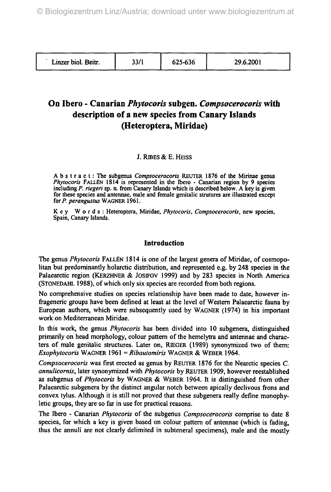| Linzer biol. Beitr. | 33/1 | 625-636 | 29.6.2001 |
|---------------------|------|---------|-----------|
|                     |      |         |           |

# **On Ibero - Canarian** *Phytocoris* **subgen.** *Compsocerocoris* **with description of a new species from Canary Islands (Heteroptera, Miridae)**

### J. RlBES & E. HEISS

Abstract : The subgenus *Compsocerocoris* REUTER 1876 of the Mirinae genus *Phytocoris* FALLEN 1814 is represented in the Ibero - Canarian region by 9 species including *P. riegeri* sp. n. from Canary Islands which is described below. A key is given for these species and antennae, male and female genitalic strutures are illustrated except for *P. perangustus* WAGNER 1961.

K e y Words : Heteroptera, Miridae, *Phytocoris, Compsocerocoris,* new species, Spain, Canary Islands.

#### Introduction

The genus *Phytocoris* FALLEN 1814 is one of the largest genera of Miridae, of cosmopolitan but predominantly holarctic distribution, and represented e.g. by 248 species in the Palaearctic region (KERZHNER & JOSIFOV 1999) and by 283 species in North America (STONEDAHL 1988), of which only six species are recorded from both regions.

No comprehensive studies on species relationship have been made to date, however infrageneric groups have been defined at least at the level of Western Palaearctic fauna by European authors, which were subsequently used by WAGNER (1974) in his important work on Mediterranean Miridae.

In this work, the genus *Phytocoris* has been divided into 10 subgenera, distinguished primarily on head morphology, colour pattern of the hemelytra and antennae and characters of male genitalic structures. Later on, RIEGER (1989) synonymized two of them: *Exophytocoris* WAGNER 1961 = *Ribautomiris* WAGNER & WEBER 1964.

*Compsocerocoris* was first erected as genus by REUTER 1876 for the Nearctic species *C. annulicornis,* later synonymized with *Phytocoris* by REUTER 1909, however reestablished as subgenus *of Phytocoris* by WAGNER & WEBER 1964. It is distinguished from other Palaearctic subgenera by the distinct angular notch between apically declivous frons and convex tylus. Although it is still not proved that these subgenera really define monophyletic groups, they are so far in use for practical reasons.

The Ibero - Canarian *Phytocoris* of the subgenus *Compsocerocoris* comprise to date 8 species, for which a key is given based on colour pattern of antennae (which is fading, thus the annuli are not clearly delimited in subteneral specimens), male and the mostly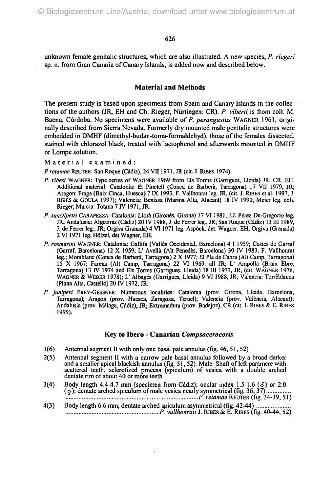unknown female genitalic structures, which are also illustrated. A new species, *P. riegeri* sp. n. from Gran Canaria of Canary Islands, is added now and described below.

## **Material and Methods**

The present study is based upon specimens from Spain and Canary Islands in the collections of the authors (JR, EH and Ch. Rieger, Nürringen: CR). *P. viberti* is from coll. M. Baena, Cordoba. No specimens were available of *P. perangustus* WAGNER 1961, originally described from Sierra Nevada. Formerly dry mounted male genitalic structures were embedded in DMHF (dimethyl-budan-toma-formaldehyd), those of the females dissected, stained with chlorazol black, treated with lactophenol and afterwards mounted in DMHF or Lompe solution.

Material examined:

*P retamae* REUTER: San Roque (Cadiz), 24 VII1971, JR. (cit. J. RIBES 1974).

- *P. ribesi* WAGNER: Type series of WAGNER 1969 from Els Torms (Garrigues, Lleida) JR, CR, EH. Additional material: Catalonia: El Pinetell (Conca de Barbera, Tarragona) 17 VII 1979, JR; Aragon: Fraga (Baix Cinca, Huesca) 7 IX 1993, F. Vallhonrat leg. JR, (cit. J. RIBES et al. 1997, J. RBES & GOULA 1997); Valencia: Benissa (Marina Alta, Alacant) 18 IV 1990, Meier leg. coll. Rieger; Murcia: Totana 7 IV 1971, JR.
- *P. sanctipetri* CARAPEZZA: Catalonia: Llora (Girones, Girona) 17 VI1981, J.J. Perez De-Gregorio leg, JR; Andalusia: Algeciras (Cádiz) 20 IV 1988, J. de Ferrer leg., JR; San Roque (Cádiz) 13 III 1989, J. de Ferrer leg., JR; Orgiva Granada) 4 VI1971 leg. Aspock, det. Wagner, EH; Orgiva (Granada) 2 VI1971 leg. Hölzel, det Wagner, EH.
- *P. rosmarini* WAGNER: Catalonia: Gallifa (Valles Occidental, Barcelona) 4 I 1959; Costes de Garraf (Garraf, Barcelona) 12 X 1959; L<sup>1</sup> Avellä (Alt Penedes, Barcelona) 30 IV 1983, F. Vallhonrat leg.; Montblanc (Conca de Barbera, Tarragona) 2 X 1977; El Pia de Cabra (Alt Camp, Tarragona) 15 X 1967; Farena (Alt Camp, Tarragona) 22 VI 1969, all JR; L' Ampolla (Braix Ebre, Tarragona) 13 IV 1974 and Els Torms (Garrigues, Lleida) 18 ffl 1973, JR, (cit. WAGNER 1976, WAGNER & WEBER 1978); L' Albages (Garrigues, Lleida) 9 VI 1988, JR; Valencia: Torreblanca (Plana Atta, Castellö) 20 IV 1972, JR.
- *P. juniperi* FREY-GESSNER: Numerous localities: Catalonia (prov. Girona, Lleida, Barcelona, Tarragona); Aragon (prov. Huesca, Zaragoza, Teruel); Valencia (prov. Valencia, Alacant); Andalusia (prov. Malaga, Cadiz), JR; Extremadura (prov. Badajoz), CR (cit. J. RlBES & E. RBES 1999).

### Key to Ibero - Canarian *Compsocerocoris*

- 1 (6) Antennal segment II with only one basal pale annulus (fig. 46, 51, 52)
- 2(5) Antennal segment II with a narrow pale basal annulus followed by a broad darker and a smaller apical blackish annulus (fig. 51, 52). Male: Shaft of left paramere with scattered teeth, sclerotized process (spiculum) of vesica with a double arched dentate rim of about 40 or more teeth
- 3(4) Body length 4.4-4.7 mm (specimen from Cádiz); ocular index  $1.5-1.6$  ( $\delta$ ) or 2.0  $(q)$ ; dentate arched spiculum of male vesica nearly symmetrical (fig. 36, 37) ........... *P. retamae REWER (fig.* 34-39, 51)
- 4(3) Body length 6.6 mm; dentate arched spiculum asymmetrical (fig. 42-44) ....... *P. vallhonrati* J. RJBES & E. RIBES (fig. 40-44, 52)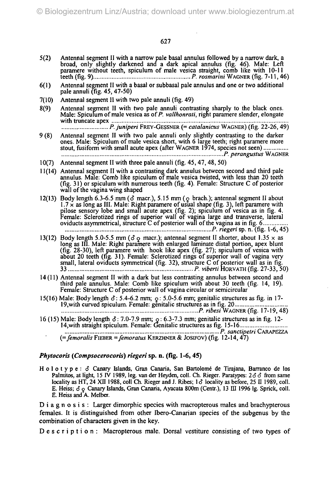- 5(2) Antennal segment II with a narrow pale basal annulus followed by a narrow dark, a broad, only slightly darkened and a dark apical annulus (fig. 46). Male: Left paramere without teeth, spiculum of male vesica straight, comb like with 10-11 teeth (fig. 9) *P. rosmarini* WAGNER (fig. 7-11,46)
- 6(1) Antennal segment II with a basal or subbasal pale annulus and one or two additional pale annuli (fig. 45, 47-50)
- 7(10) Antennal segment II with two pale annuli (fig. 49)
- 8(9) Antennal segment II with two pale annuli contrasting sharply to the black ones.<br>Male: Spiculum of male vesica as of P. vallhonrati, right paramere slender, elongate with truncate apex *P.juniperi* FREY-GESSNER (= *catalanicus* WAGNER) (fig. 22-26,49)
- 9 (8) Antennal segment II with two pale annuli only slightly contrasting to the darker ones. Male: Spiculum of male vesica short, with 6 large teeth; right paramere more stout, fusiform with small acute apex (after WAGNER 1974, species not seen) *P. perangustus* WAGNER
- 10(7) Antennal segment II with three pale annuli (fig. 45, 47, 48, 50)
- 11(14) Antennal segment II with a contrasting dark annulus between second and third pale annulus. Male: Comb like spiculum of male vesica twisted, with less than 20 teeth (fig. 31) or spiculum with numerous teeth (fig. 4). Female: Structure C of posterior wall of the vagina wing shaped
- 12(13) Body length 6.3-6.5 mm ( $\delta$  macr.), 5.15 mm ( $\rho$  brach.); antennal segment II about  $1.7 \times$  as long as III. Male: Right paramere of usual shape (fig. 3), left paramere with pilose sensory lobe and small acute apex (fig. 2); spiculum of vesica as in fig. 4. Female: Sclerotized rings of superior wall of vagina large and transverse, lateral oviducts asymmetrical, structure C of posterior wall of the vagina as in fig. 6 *P. riegeri* sp. n. (fig. 1-6, 45)
- 13(12) Body length 5.0-5.5 mm ( $\delta$  o macr.); antennal segment II shorter, about 1.35  $\times$  as long as III. Male: Right paramere with enlarged laminate distal portion, apex blunt (fig. 28-30), left paramere with hook like apex (fig. 27); spiculum of vesica with about 20 teeth (fig. 31). Female: Sclerotized rings of superior wall of vagina very small, lateral oviducts symmetrical (fig. 32), structure C of posterior wall as in fig. 33 *P. viberti* HORVATH (fig. 27-33, 50)
- 14(11) Antennal segment II with a dark but less contrasting annulus between second and third pale annulus. Male: Comb like spiculum with about 30 teeth (fig. 14, 19). Female: Structure C of posterior wall of vagina circular or semicircular
- 15(16) Male: Body length  $\delta$ : 5.4-6.2 mm;  $\varphi$ : 5.0-5.6 mm; genitalic structures as fig. in 17-19,with curved spiculum. Female: genitalic structures as in fig. 20 *P. Hbesi* WAGNER (fig. 17-19,48)
- 16 (15) Male: Body length *6:* 7.0-7.9 mm; 0: 6.3-7.3 mm; genitalic structures as in fig. 12- 14,with straight spiculum. Female: Genitalic structures as fig. 15-16 *P. sanctipetri* CARAPEZZA
	- *(=femoralis* FIEBER *=femoratus* KERZHNER & JOSIFOV) (fig. 12-14,47)

#### *Phytocoris (Compsocerocoris) riegeri* sp. n. (fig. 1-6,45)

Holotype:  $\delta$  Canary Islands, Gran Canaria, San Bartolomé de Tirajana, Barranco de los Palmitos, at light, 15 IV 1989, leg. van der Heyden, coll. Ch. Rieger. Paratypes: *26 6* from same locality as HT, 24 XII 1988, coll Ch. Rieger and J. Ribes; 1*6* locality as before, 25 II 1989, coll. E. Heiss;  $\delta \circ$  Canary Islands, Gran Canaria, Ayacata 800m (Centr.), 13 III 1996 lg. Sprick, coll. E. Heiss and A. Melber.

D i a g n o s i s : Larger dimorphic species with macropterous males and brachypterous females. It is distinguished from other Ibero-Canarian species of the subgenus by the combination of characters given in the key.

Description: Macropterous male. Dorsal vestiture consisting of two types of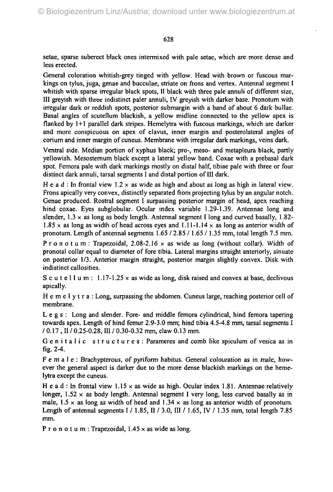setae, sparse suberect black ones intermixed with pale setae, which are more dense and less erected.

General coloration whitish-grey tinged with yellow. Head with brown or fuscous markings on tylus, juga, genae and bucculae, striate on frons and vertex. Antennal segment I whitish with sparse irregular black spots, II black with three pale annuli of different size, III greyish with three indistinct paler annuli, IV greyish with darker base. Pronotum with irregular dark or reddish spots, posterior submargin with a band of about 6 dark bullae. Basal angles of scutellum blackish, a yellow midline connected to the yellow apex is flanked by 1+1 parallel dark stripes. Hemelytra with fuscous markings, which are darker and more conspicuous on apex of clavus, inner margin and posterolateral angles of corium and inner margin of cuneus. Membrane with irregular dark markings, veins dark.

Ventral side. Median portion of xyphus black; pro-, meso- and metapleura black, partly yellowish. Mesosternum black except a lateral yellow band. Coxae with a prebasal dark spot. Femora pale with dark markings mostly on distal half, tibiae pale with three or four distinct dark annuli, tarsal segments I and distal portion of III dark.

H e a d : In frontal view  $1.2 \times$  as wide as high and about as long as high in lateral view. Frons apically very convex, distinctly separated from projecting tylus by an angular notch. Genae produced. Rostral segment I surpassing posterior margin of head, apex reaching hind coxae. Eyes subglobular. Ocular index variable 1.29-1.39. Antennae long and slender,  $1.3 \times$  as long as body length. Antennal segment I long and curved basally,  $1.82$ -1.85 x as long as width of head across eyes and 1.11-1.14 x as long as anterior width of pronotum. Length of antennal segments 1.65 / 2.85 /1.65 /1.35 mm, total length 7.5 mm.

Pronotum: Trapezoidal, 2.08-2.16  $\times$  as wide as long (without collar). Width of pronotal collar equal to diameter of fore tibia. Lateral margins straight anteriorly, sinuate on posterior 1/3. Anterior margin straight, posterior margin slightly convex. Disk with indistinct callosities.

S c u t e  $11$  u m :  $1.17 - 1.25 \times$  as wide as long, disk raised and convex at base, declivous apically.

Hemelytra : Long, surpassing the abdomen. Cuneus large, reaching posterior cell of membrane.

Legs : Long and slender. Fore- and middle femora cylindrical, hind femora tapering towards apex. Length of hind femur 2.9-3.0 mm; hind tibia 4.5-4.8 mm, tarsal segments I / 0.17 , II / 0.25-0.28, m / 0.30-0.32 mm, claw 0.13 mm.

Genitalic structures: Parameres and comb like spiculum of vesica as in fig. 2-4.

Fe m a l e : Brachypterous, of pyriform habitus. General colouration as in male, however the general aspect is darker due to the more dense blackish markings on the hemelytra except the cuneus.

H e a d : In frontal view 1.15  $\times$  as wide as high. Ocular index 1.81. Antennae relatively longer,  $1.52 \times$  as body length. Antennal segment I very long, less curved basally as in male,  $1.5 \times$  as long as width of head and  $1.34 \times$  as long as anterior width of pronotum. Length of antennal segments I / 1.85, *U I* 3.0, III / 1.65, IV / 1.35 mm, total length 7.85 mm.

P r o n o t u m : Trapezoidal,  $1.45 \times$  as wide as long.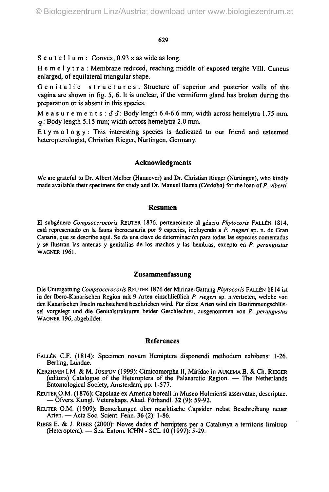S c u t e  $1$  l u m : Convex,  $0.93 \times$  as wide as long.

Hemelytra : Membrane reduced, reaching middle of exposed tergite VIII. Cuneus enlarged, of equilateral triangular shape.

Genitalic structures: Structure of superior and posterior walls of the vagina are shown in fig. 5, 6. It is unclear, if the vermiform gland has broken during the preparation or is absent in this species.

Measurements:  $\delta\delta$ : Body length 6.4-6.6 mm; width across hemelytra 1.75 mm. 5 : Body length 5.15 mm; width across hemelytra 2.0 mm.

 $E$ tymology: This interesting species is dedicated to our friend and esteemed heteropterologist, Christian Rieger, Nürtingen, Germany.

#### **Acknowledgments**

We are grateful to Dr. Albert Melber (Hannover) and Dr. Christian Rieger (Nürtingen), who kindly made available their specimens for study and Dr. Manuel Baena (Cordoba) for the loan of *P. viberti.*

#### **Resumen**

El subgönero *Compsocerocoris* REUTER 1876, perteneciente al gdnero *Phytocoris* FALLEN 1814, esta representado en la fauna iberocanaria por 9 especies, incluyendo a *P. riegeri* sp. n. de Gran Canaria, que se describe aqui. Se da una clave de determinaciön para todas las especies comentadas y se ilustran las antenas y genitalias de los machos y las hembras, excepto en *P. perangustus* WAGNER 1961.

# **Zusammenfassung**

Die Untergattung *Compsocerocoris* REUTER 1876 der Mirinae-Gattung *Phytocoris* FALLEN 1814 ist in der Ibero-Kanarischen Region mit 9 Arten einschließlich *P. riegeri* sp. n.vertreten, welche von den Kanarischen Inseln nachstehend beschrieben wird. Für diese Arten wird ein Bestimmungschlüssel vorgelegt und die Genitalstrukturen beider Geschlechter, ausgenommen von *P. perangustus* WAGNER 196, abgebildet.

#### **References**

- FALLEN C.F. (1814): Specimen novam Hemiptera disponendi methodum exhibens: 1-26. Berling, Lundae.
- KERZHNER I.M. & M. JOSIFOV (1999): Cimicomorpha II, Miridae in AUKEMA B. & Ch. RIEGER (editors) Catalogue of the Heteroptera of the Palaearctic Region. — The Netherlands Entomological Society, Amsterdam, pp. 1-577.
- REUTER O.M. (1876): Capsinae ex America boreali in Museo Holmiensi asservatae, descriptae. — Öfvers. Kungl. Vetenskaps. Akad. Förhandl. 32 (9): 59-92.
- REUTER O.M. (1909): Bemerkungen über nearktische Capsiden nebst Beschreibung neuer Arten. — Acta Soc. Scient. Fenn. 36 (2): 1-86.
- RIBES E. & J. RIBES (2000): Noves dades d' hemipters per a Catalunya a territoris limitrop (Heteroptera). — Ses. Entom. ICHN - SCL 10 (1997): 5-29.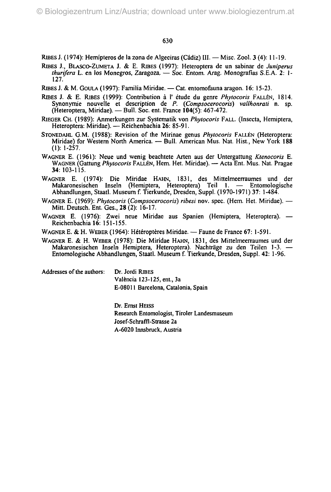RlBES J. (1974): Hemipteros de la zona de Algeciras (Cadiz) III. — Misc. Zool. 3 (4): 11-19.

- RIBES J., BLASCO-ZUMETA J. & E. RIBES (1997): Heteroptera de un sabinar de *Juniperus thurifera* L. en los Monegros, Zaragoza, — Soc. Entom. Arag. Monografias S.E.A. 2: 1- 127.
- RIBES J. & M. GOULA (1997): Familia Miridae. Cat. entomofauna aragon. 16: 15-23.
- RIBES J. & E. RIBES (1999): Contribution à l'étude du genre Phytocoris FALLEN, 1814. Synonymie nouvelle et description de *P. (Compsocerocoris) vallhonrati* n. sp. (Heteroptera, Miridae). — Bull. Soc. ent. France 104(5): 467-472.
- RIEGER CH. (1989): Anmerkungen zur Systematik von *Phytocoris* FALL. (Insecta, Hemiptera, Heteroptera: Miridae). — Reichenbachia 26: 85-91.
- STONEDAHL G.M. (1988): Revision of the Mirinae genus *Phytocoris* FALLEN (Heteroptera: Miridae) for Westem North America. — Bull. American Mus. Nat. Hist., New York 188 (1): 1-257.
- WAGNER E. (1961): Neue und wenig beachtete Arten aus der Untergattung *Ktenocoris* E. WAGNER (Gattung *Phytocoris* FALLEN, Hern. Het. Miridae). — Acta Ent. Mus. Nat. Pragae 34: 103-115.
- WAGNER E. (1974): Die Miridae HAHN, 1831, des Mittelmeerraumes und der Makaronesischen Inseln (Hemiptera, Heteroptera) Teil 1. — Entomologische Abhandlungen, Staatl. Museum f. Tierkunde, Dresden, Suppl. (1970-1971) 37: 1-484.
- WAGNER E. (1969): *Phytocoris (Compsocerocoris) ribesi* nov. spec. (Hem. Het. Miridae). Mitt. Deutsch. Ent. Ges., 28 (2): 16-17.
- WAGNER E. (1976): Zwei neue Miridae aus Spanien (Hemiptera, Heteroptera). Reichenbachia 16: 151-155.
- WAGNER E. & H. WEBER (1964): Hétéroptères Miridae. Faune de France 67: 1-591.
- WAGNER E. & H. WEBER (1978): Die Miridae HAHN, 1831, des Mittelmeerraumes und der Makaronesischen Inseln Hemiptera, Heteroptera). Nachträge zu den Teilen 1-3. — Entomologische Abhandlungen, Staatl. Museum f. Tierkunde, Dresden, Suppl. 42: 1-96.

Addresses of the authors: Dr. Jordi RIBES

Valencia 123-125, ent., 3a E-08011 Barcelona, Catalonia, Spain

Dr. Ernst HEISS Research Entomologist, Tiroler Landesmuseum Josef-Schraffl-Strasse 2a A-6020 Innsbruck, Austria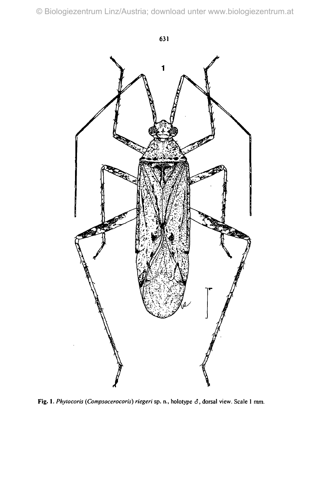© Biologiezentrum Linz/Austria; download unter www.biologiezentrum.at



Fig. 1. *Phytocoris (Compsocerocoris) riegeri* sp. n., holotype *6,* dorsal view. Scale I mm.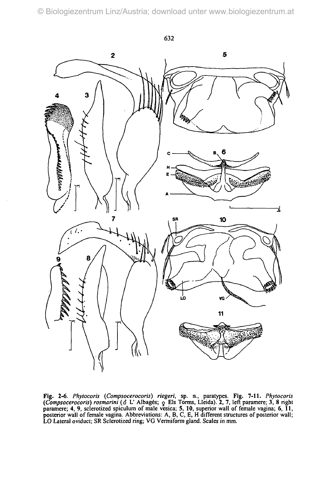

Fig. 2-6. *Phytocoris {Compsocerocoris) riegeri,* sp. n., paratypes. Fig. 7-11. *Phytocoris (Compsocerocoris) rosmarini (3 L'Albagés; 9 Els Torms, Lleida). 2, 7, left paramere; 3, 8 right* paramere; 4, 9, sclerotized spiculum of male vesica; 5, 10, superior wall of female vagina; 6, 11, posterior wall of female vagina. Abbreviations: A, B, C, E, H different structures of posterior wall; LO Lateral oviduct; SR Sclerotized ring; VG Vermiform gland. Scales in mm.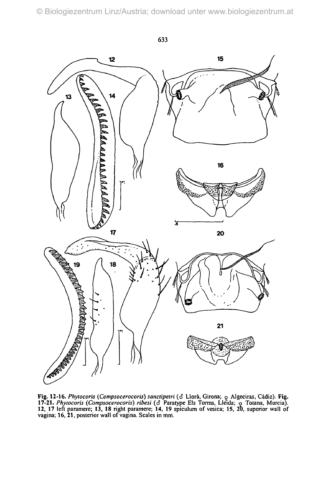

Fig. 12-16. Phytocoris (Compsocerocoris) sanctipetri (3 Llorà, Girona;  $\circ$  Algeciras, Cádiz). Fig. 17-21. *Phytocoris (Compsocerocoris) ribesi (ä* Paratype Eis Torms, Lleida; o Totana, Murcia). 12, 17 left paramere; 13, 18 right paramere; 14, 19 spiculum of vesica; 15, 20, superior wall of vagina; 16, 21, posterior wall of vagina. Scales in mm.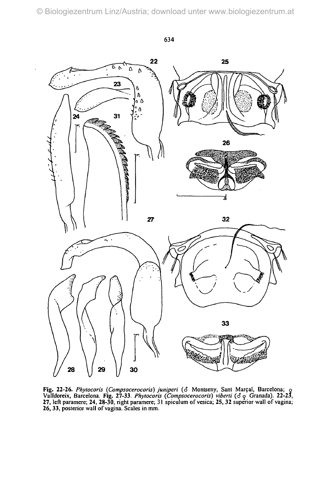

Fig. 22-26. Phytocoris (Compsocerocoris) juniperi ( $\delta$  Montseny, Sant Marçal, Barcelona;  $\delta$ Valldoreix, Barcelona. Fig. 27-33. Phytocoris (Compsocerocoris) viberti ( $\sigma$  Granada). 22-23, 27, left paramere; 24, 28-30, right paramere; 31 spiculum of vesica; 25, 32 superior wall of vagina; 26, 33, posterior wall of vagina. Scales in mm.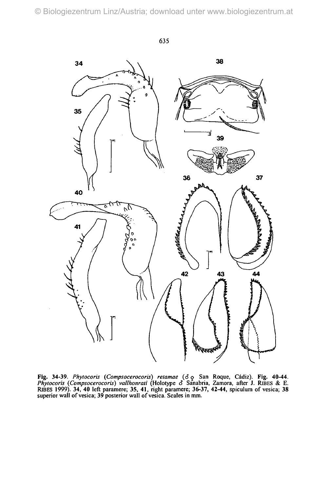

Fig. 34-39. Phytocoris (Compsocerocoris) retamae ( $\delta$   $\circ$  San Roque, Cádiz). Fig. 40-44. *Phytocoris (Compsocerocoris) vallhonrati* (Holotype *S* Sanabria, Zamora, after J. RlBES & E. RiBES 1999). 34, 40 left paramere; 35, 41, right paramere; 36-37, 42-44, spiculum of vesica; 38 superior wall of vesica; 39 posterior wall of vesica. Scales in mm.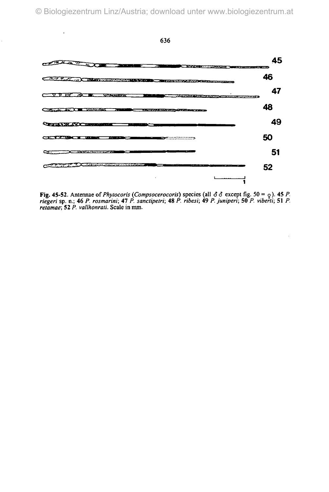

Fig. 45-52. Antennae *of Phytocoris (Compsocerocoris)* species (all *66* except fig. 50 = <j). 45 *P. riegeri* sp. n.; 46 *P. rosmarini;* 47 *P. sanctipetri;* 48 *P. ribesi;* 49 *P. juniperi;* 50 *P. viberti;* 51 *P. retamae;* 52 *P. vallhonrati.* Scale in mm.